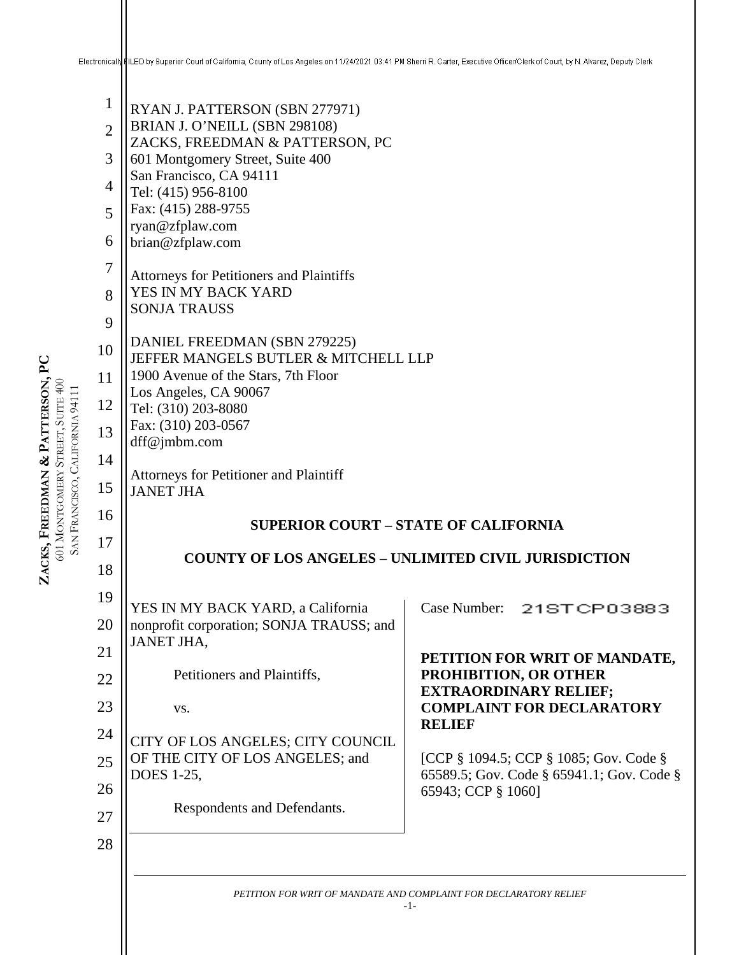#### Electronically FILED by Superior Court of California, County of Los Angeles on 11/24/2021 03:41 PM Sherri R. Carter, Executive Officer/Clerk of Court, by N. Alvarez, Deputy Clerk

1 2 3 4 5 6 7 8  $\mathbf Q$ 10 11 12 13 14 15 16 17 18 19 20 21 22 23 24 **ZACKS, FREEDMAN**  ZACKS, FREEDMAN & PATTERSON, PC **PATTERSON, PC**  601 MONTGOMERY STREET, SUITE 400 SAN FRANCISCO, CALIFORNIA 94111 FRANCISCO, CALIFORNIA 94111 RYAN J. PATTERSON (SBN 277971) BRIAN J. O'NEILL (SBN 298108) ZACKS, FREEDMAN & PATTERSON, PC 601 Montgomery Street, Suite 400 San Francisco, CA 94111 Tel: (415) 956-8100 Fax: (415) 288-9755 ryan@zfplaw.com brian@zfplaw.com Attorneys for Petitioners and Plaintiffs YES IN MY BACK YARD SONJA TRAUSS DANIEL FREEDMAN (SBN 279225) JEFFER MANGELS BUTLER & MITCHELL LLP 1900 Avenue of the Stars, 7th Floor Los Angeles, CA 90067 Tel: (310) 203-8080 Fax: (310) 203-0567 dff@jmbm.com Attorneys for Petitioner and Plaintiff JANET JHA **SUPERIOR COURT – STATE OF CALIFORNIA COUNTY OF LOS ANGELES – UNLIMITED CIVIL JURISDICTION** YES IN MY BACK YARD, a California nonprofit corporation; SONJA TRAUSS; and JANET JHA, Petitioners and Plaintiffs, vs. CITY OF LOS ANGELES; CITY COUNCIL

OF THE CITY OF LOS ANGELES; and **EXTRAORDINARY RELIEF; COMPLAINT FOR DECLARATORY RELIEF** [CCP § 1094.5; CCP § 1085; Gov. Code § 65589.5; Gov. Code § 65941.1; Gov. Code § 65943; CCP § 1060]

**PROHIBITION, OR OTHER** 

Case Number: 21STCP03883

**PETITION FOR WRIT OF MANDATE,** 

27 28

25

26

DOES 1-25,

Respondents and Defendants.

-1-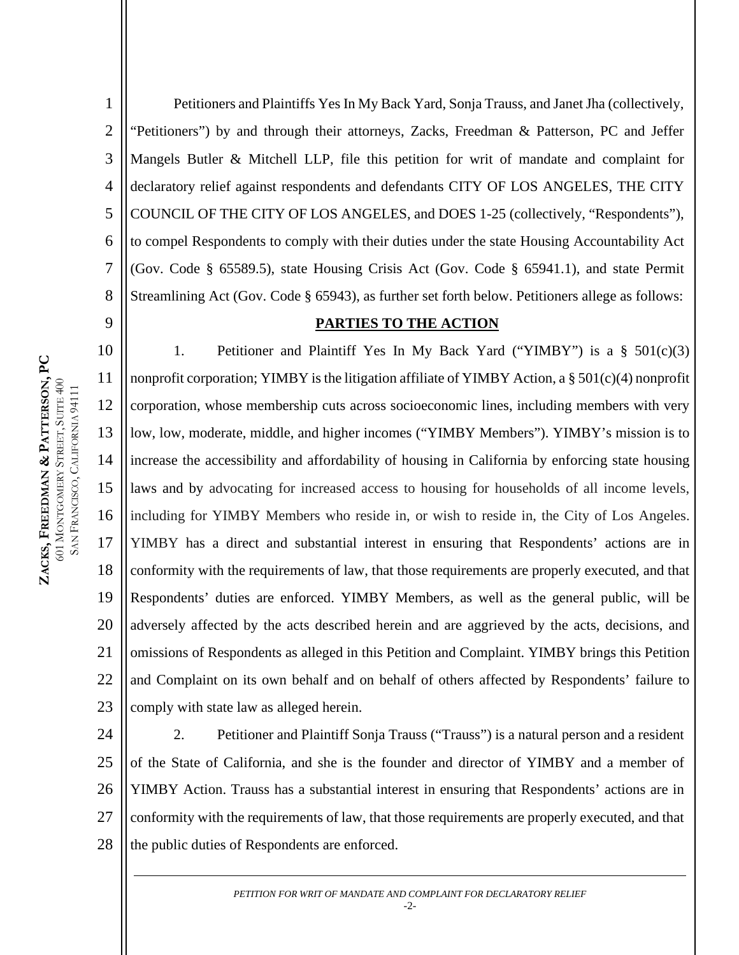1 2 3 4 5 6 7 8 Petitioners and Plaintiffs Yes In My Back Yard, Sonja Trauss, and Janet Jha (collectively, "Petitioners") by and through their attorneys, Zacks, Freedman & Patterson, PC and Jeffer Mangels Butler & Mitchell LLP, file this petition for writ of mandate and complaint for declaratory relief against respondents and defendants CITY OF LOS ANGELES, THE CITY COUNCIL OF THE CITY OF LOS ANGELES, and DOES 1-25 (collectively, "Respondents"), to compel Respondents to comply with their duties under the state Housing Accountability Act (Gov. Code § 65589.5), state Housing Crisis Act (Gov. Code § 65941.1), and state Permit Streamlining Act (Gov. Code § 65943), as further set forth below. Petitioners allege as follows:

#### **PARTIES TO THE ACTION**

10 11 12 13 14 15 16 17 18 19 20 21 22 23 1. Petitioner and Plaintiff Yes In My Back Yard ("YIMBY") is a § 501(c)(3) nonprofit corporation; YIMBY is the litigation affiliate of YIMBY Action, a § 501(c)(4) nonprofit corporation, whose membership cuts across socioeconomic lines, including members with very low, low, moderate, middle, and higher incomes ("YIMBY Members"). YIMBY's mission is to increase the accessibility and affordability of housing in California by enforcing state housing laws and by advocating for increased access to housing for households of all income levels, including for YIMBY Members who reside in, or wish to reside in, the City of Los Angeles. YIMBY has a direct and substantial interest in ensuring that Respondents' actions are in conformity with the requirements of law, that those requirements are properly executed, and that Respondents' duties are enforced. YIMBY Members, as well as the general public, will be adversely affected by the acts described herein and are aggrieved by the acts, decisions, and omissions of Respondents as alleged in this Petition and Complaint. YIMBY brings this Petition and Complaint on its own behalf and on behalf of others affected by Respondents' failure to comply with state law as alleged herein.

24 25 26 27 28 2. Petitioner and Plaintiff Sonja Trauss ("Trauss") is a natural person and a resident of the State of California, and she is the founder and director of YIMBY and a member of YIMBY Action. Trauss has a substantial interest in ensuring that Respondents' actions are in conformity with the requirements of law, that those requirements are properly executed, and that the public duties of Respondents are enforced.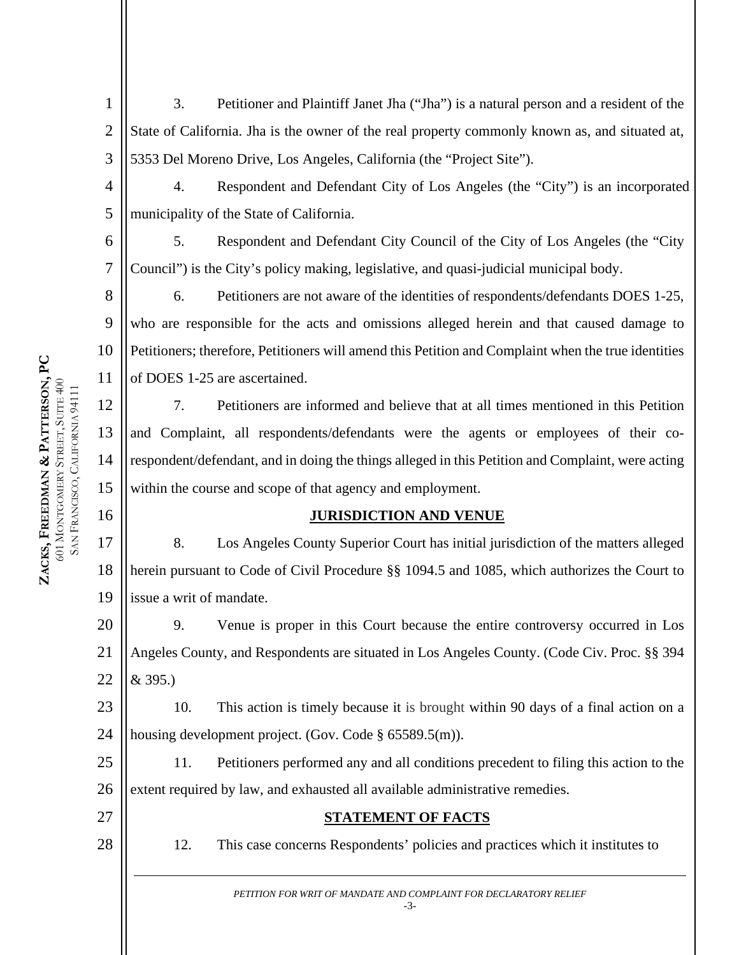3. Petitioner and Plaintiff Janet Jha ("Jha") is a natural person and a resident of the State of California. Jha is the owner of the real property commonly known as, and situated at, 5353 Del Moreno Drive, Los Angeles, California (the "Project Site").

4. Respondent and Defendant City of Los Angeles (the "City") is an incorporated municipality of the State of California.

6 5. Respondent and Defendant City Council of the City of Los Angeles (the "City Council") is the City's policy making, legislative, and quasi-judicial municipal body.

8 9 10 11 6. Petitioners are not aware of the identities of respondents/defendants DOES 1-25, who are responsible for the acts and omissions alleged herein and that caused damage to Petitioners; therefore, Petitioners will amend this Petition and Complaint when the true identities of DOES 1-25 are ascertained.

7. Petitioners are informed and believe that at all times mentioned in this Petition and Complaint, all respondents/defendants were the agents or employees of their corespondent/defendant, and in doing the things alleged in this Petition and Complaint, were acting within the course and scope of that agency and employment.

### **JURISDICTION AND VENUE**

17 18 19 8. Los Angeles County Superior Court has initial jurisdiction of the matters alleged herein pursuant to Code of Civil Procedure §§ 1094.5 and 1085, which authorizes the Court to issue a writ of mandate.

20 21 22 9. Venue is proper in this Court because the entire controversy occurred in Los Angeles County, and Respondents are situated in Los Angeles County. (Code Civ. Proc. §§ 394 & 395.)

23 24 10. This action is timely because it is brought within 90 days of a final action on a housing development project. (Gov. Code § 65589.5(m)).

25 26 11. Petitioners performed any and all conditions precedent to filing this action to the extent required by law, and exhausted all available administrative remedies.

- 27
- 28

**STATEMENT OF FACTS**

12. This case concerns Respondents' policies and practices which it institutes to

*PETITION FOR WRIT OF MANDATE AND COMPLAINT FOR DECLARATORY RELIEF* -3-

1

2

3

4

5

7

12

13

14

15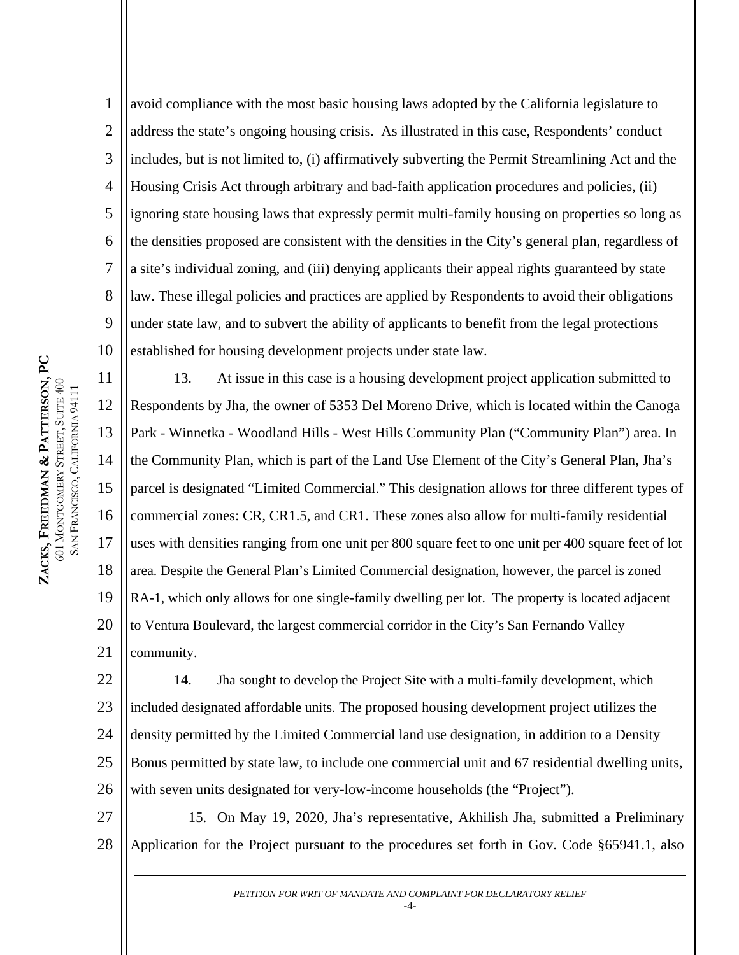1 2 3 4 5 6 7 8 9 10 avoid compliance with the most basic housing laws adopted by the California legislature to address the state's ongoing housing crisis. As illustrated in this case, Respondents' conduct includes, but is not limited to, (i) affirmatively subverting the Permit Streamlining Act and the Housing Crisis Act through arbitrary and bad-faith application procedures and policies, (ii) ignoring state housing laws that expressly permit multi-family housing on properties so long as the densities proposed are consistent with the densities in the City's general plan, regardless of a site's individual zoning, and (iii) denying applicants their appeal rights guaranteed by state law. These illegal policies and practices are applied by Respondents to avoid their obligations under state law, and to subvert the ability of applicants to benefit from the legal protections established for housing development projects under state law.

11 12 13 14 15 16 17 18 19 20 21 13. At issue in this case is a housing development project application submitted to Respondents by Jha, the owner of 5353 Del Moreno Drive, which is located within the Canoga Park - Winnetka - Woodland Hills - West Hills Community Plan ("Community Plan") area. In the Community Plan, which is part of the Land Use Element of the City's General Plan, Jha's parcel is designated "Limited Commercial." This designation allows for three different types of commercial zones: CR, CR1.5, and CR1. These zones also allow for multi-family residential uses with densities ranging from one unit per 800 square feet to one unit per 400 square feet of lot area. Despite the General Plan's Limited Commercial designation, however, the parcel is zoned RA-1, which only allows for one single-family dwelling per lot. The property is located adjacent to Ventura Boulevard, the largest commercial corridor in the City's San Fernando Valley community.

22 23 24 25 26 14. Jha sought to develop the Project Site with a multi-family development, which included designated affordable units. The proposed housing development project utilizes the density permitted by the Limited Commercial land use designation, in addition to a Density Bonus permitted by state law, to include one commercial unit and 67 residential dwelling units, with seven units designated for very-low-income households (the "Project").

27 28 15. On May 19, 2020, Jha's representative, Akhilish Jha, submitted a Preliminary Application for the Project pursuant to the procedures set forth in Gov. Code §65941.1, also

*PETITION FOR WRIT OF MANDATE AND COMPLAINT FOR DECLARATORY RELIEF*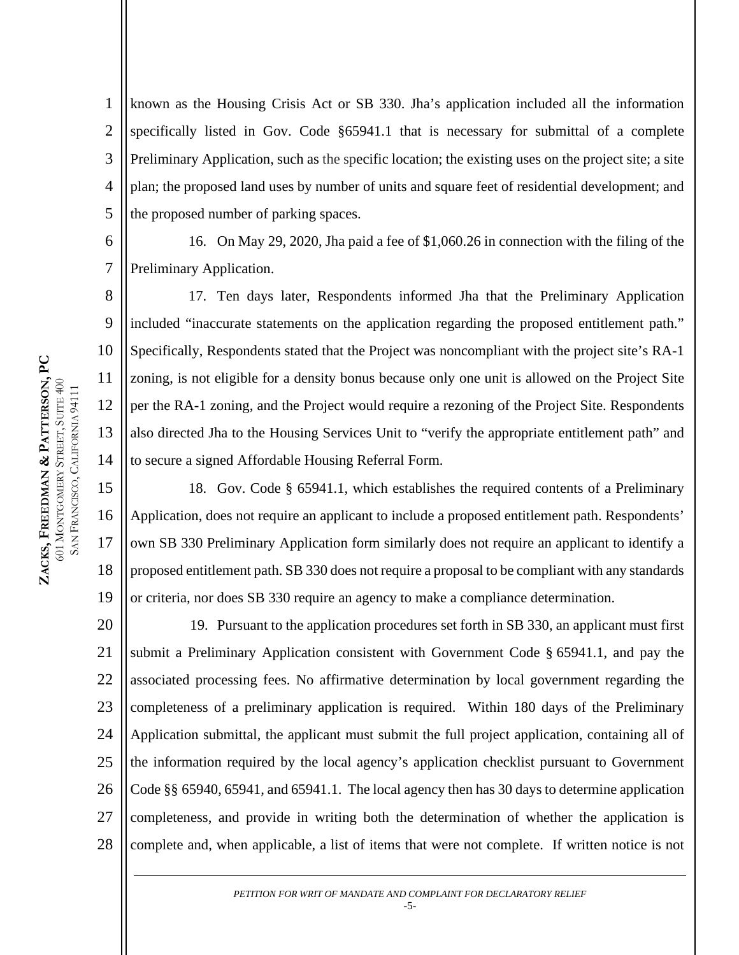7

8

9

10

11

12

13

14

17

1 2 3 4 5 known as the Housing Crisis Act or SB 330. Jha's application included all the information specifically listed in Gov. Code §65941.1 that is necessary for submittal of a complete Preliminary Application, such as the specific location; the existing uses on the project site; a site plan; the proposed land uses by number of units and square feet of residential development; and the proposed number of parking spaces.

6 16. On May 29, 2020, Jha paid a fee of \$1,060.26 in connection with the filing of the Preliminary Application.

17. Ten days later, Respondents informed Jha that the Preliminary Application included "inaccurate statements on the application regarding the proposed entitlement path." Specifically, Respondents stated that the Project was noncompliant with the project site's RA-1 zoning, is not eligible for a density bonus because only one unit is allowed on the Project Site per the RA-1 zoning, and the Project would require a rezoning of the Project Site. Respondents also directed Jha to the Housing Services Unit to "verify the appropriate entitlement path" and to secure a signed Affordable Housing Referral Form.

15 16 18 19 18. Gov. Code § 65941.1, which establishes the required contents of a Preliminary Application, does not require an applicant to include a proposed entitlement path. Respondents' own SB 330 Preliminary Application form similarly does not require an applicant to identify a proposed entitlement path. SB 330 does not require a proposal to be compliant with any standards or criteria, nor does SB 330 require an agency to make a compliance determination.

20 21 22 23 24 25 26 27 28 19. Pursuant to the application procedures set forth in SB 330, an applicant must first submit a Preliminary Application consistent with Government Code § 65941.1, and pay the associated processing fees. No affirmative determination by local government regarding the completeness of a preliminary application is required. Within 180 days of the Preliminary Application submittal, the applicant must submit the full project application, containing all of the information required by the local agency's application checklist pursuant to Government Code §§ 65940, 65941, and 65941.1. The local agency then has 30 days to determine application completeness, and provide in writing both the determination of whether the application is complete and, when applicable, a list of items that were not complete. If written notice is not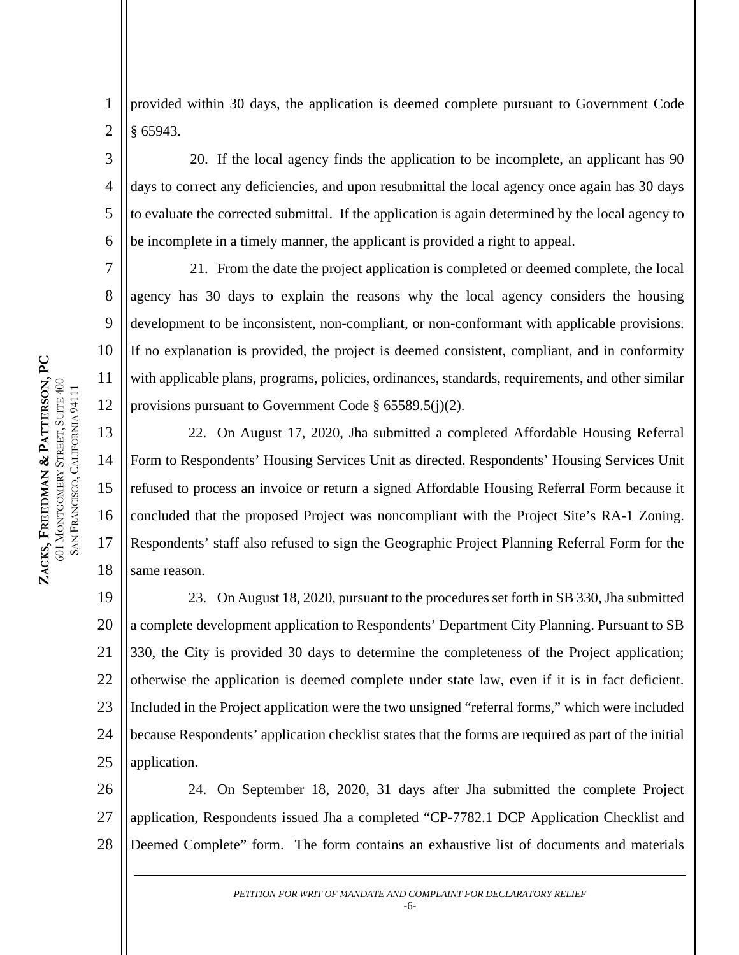4

5

6

7

8

9

10

11

12

1 2 provided within 30 days, the application is deemed complete pursuant to Government Code § 65943.

20. If the local agency finds the application to be incomplete, an applicant has 90 days to correct any deficiencies, and upon resubmittal the local agency once again has 30 days to evaluate the corrected submittal. If the application is again determined by the local agency to be incomplete in a timely manner, the applicant is provided a right to appeal.

21. From the date the project application is completed or deemed complete, the local agency has 30 days to explain the reasons why the local agency considers the housing development to be inconsistent, non-compliant, or non-conformant with applicable provisions. If no explanation is provided, the project is deemed consistent, compliant, and in conformity with applicable plans, programs, policies, ordinances, standards, requirements, and other similar provisions pursuant to Government Code § 65589.5(j)(2).

13 14 15 16 17 18 22. On August 17, 2020, Jha submitted a completed Affordable Housing Referral Form to Respondents' Housing Services Unit as directed. Respondents' Housing Services Unit refused to process an invoice or return a signed Affordable Housing Referral Form because it concluded that the proposed Project was noncompliant with the Project Site's RA-1 Zoning. Respondents' staff also refused to sign the Geographic Project Planning Referral Form for the same reason.

19 20 21 22 23 24 25 23. On August 18, 2020, pursuant to the procedures set forth in SB 330, Jha submitted a complete development application to Respondents' Department City Planning. Pursuant to SB 330, the City is provided 30 days to determine the completeness of the Project application; otherwise the application is deemed complete under state law, even if it is in fact deficient. Included in the Project application were the two unsigned "referral forms," which were included because Respondents' application checklist states that the forms are required as part of the initial application.

26 27 28 24. On September 18, 2020, 31 days after Jha submitted the complete Project application, Respondents issued Jha a completed "CP-7782.1 DCP Application Checklist and Deemed Complete" form. The form contains an exhaustive list of documents and materials

> *PETITION FOR WRIT OF MANDATE AND COMPLAINT FOR DECLARATORY RELIEF* -6-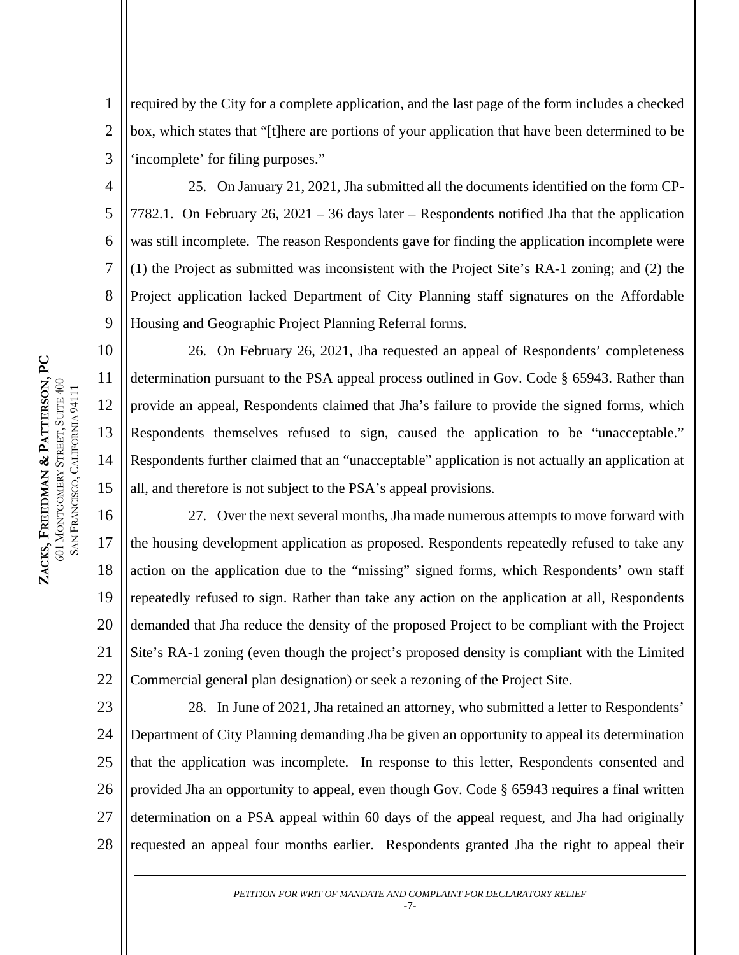11

12

13

14

15

1 2 3 required by the City for a complete application, and the last page of the form includes a checked box, which states that "[t]here are portions of your application that have been determined to be 'incomplete' for filing purposes."

4 5 6 7 8 9 25. On January 21, 2021, Jha submitted all the documents identified on the form CP-7782.1. On February 26, 2021 – 36 days later – Respondents notified Jha that the application was still incomplete. The reason Respondents gave for finding the application incomplete were (1) the Project as submitted was inconsistent with the Project Site's RA-1 zoning; and (2) the Project application lacked Department of City Planning staff signatures on the Affordable Housing and Geographic Project Planning Referral forms.

26. On February 26, 2021, Jha requested an appeal of Respondents' completeness determination pursuant to the PSA appeal process outlined in Gov. Code § 65943. Rather than provide an appeal, Respondents claimed that Jha's failure to provide the signed forms, which Respondents themselves refused to sign, caused the application to be "unacceptable." Respondents further claimed that an "unacceptable" application is not actually an application at all, and therefore is not subject to the PSA's appeal provisions.

16 17 18 19 20 21 22 27. Over the next several months, Jha made numerous attempts to move forward with the housing development application as proposed. Respondents repeatedly refused to take any action on the application due to the "missing" signed forms, which Respondents' own staff repeatedly refused to sign. Rather than take any action on the application at all, Respondents demanded that Jha reduce the density of the proposed Project to be compliant with the Project Site's RA-1 zoning (even though the project's proposed density is compliant with the Limited Commercial general plan designation) or seek a rezoning of the Project Site.

23 24 25 26 27 28 28. In June of 2021, Jha retained an attorney, who submitted a letter to Respondents' Department of City Planning demanding Jha be given an opportunity to appeal its determination that the application was incomplete. In response to this letter, Respondents consented and provided Jha an opportunity to appeal, even though Gov. Code § 65943 requires a final written determination on a PSA appeal within 60 days of the appeal request, and Jha had originally requested an appeal four months earlier. Respondents granted Jha the right to appeal their

> *PETITION FOR WRIT OF MANDATE AND COMPLAINT FOR DECLARATORY RELIEF* -7-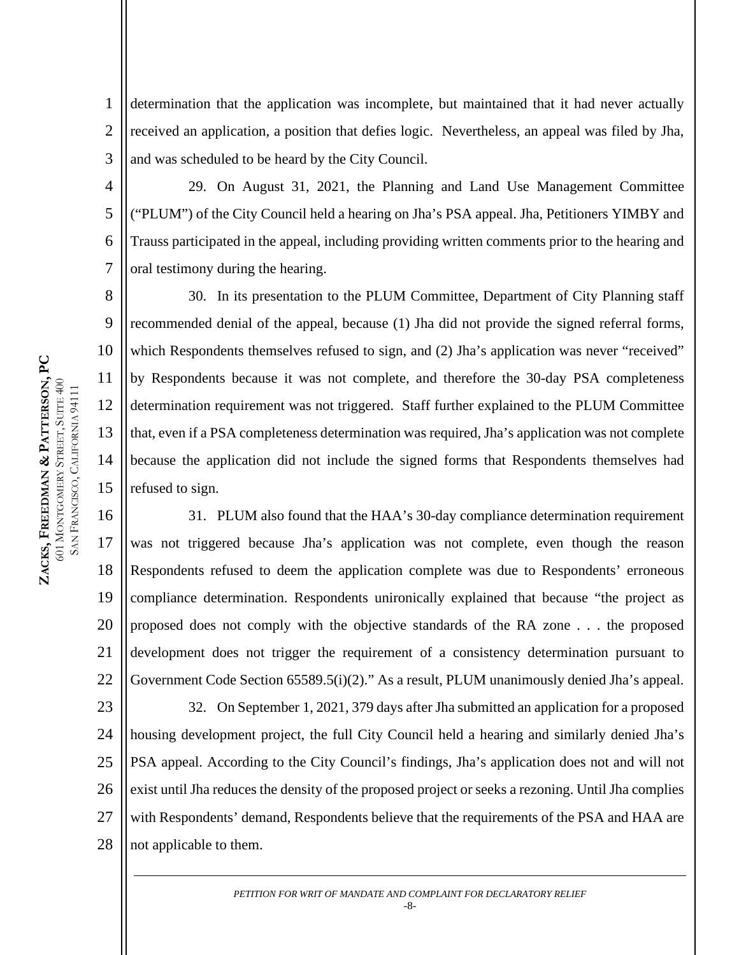9

10

11

12

13

14

15

1 2 3 determination that the application was incomplete, but maintained that it had never actually received an application, a position that defies logic. Nevertheless, an appeal was filed by Jha, and was scheduled to be heard by the City Council.

4 5 6 7 29. On August 31, 2021, the Planning and Land Use Management Committee ("PLUM") of the City Council held a hearing on Jha's PSA appeal. Jha, Petitioners YIMBY and Trauss participated in the appeal, including providing written comments prior to the hearing and oral testimony during the hearing.

30. In its presentation to the PLUM Committee, Department of City Planning staff recommended denial of the appeal, because (1) Jha did not provide the signed referral forms, which Respondents themselves refused to sign, and (2) Jha's application was never "received" by Respondents because it was not complete, and therefore the 30-day PSA completeness determination requirement was not triggered. Staff further explained to the PLUM Committee that, even if a PSA completeness determination was required, Jha's application was not complete because the application did not include the signed forms that Respondents themselves had refused to sign.

16 17 18 19 20 21 22 31. PLUM also found that the HAA's 30-day compliance determination requirement was not triggered because Jha's application was not complete, even though the reason Respondents refused to deem the application complete was due to Respondents' erroneous compliance determination. Respondents unironically explained that because "the project as proposed does not comply with the objective standards of the RA zone . . . the proposed development does not trigger the requirement of a consistency determination pursuant to Government Code Section 65589.5(i)(2)." As a result, PLUM unanimously denied Jha's appeal.

23 24 25 26 27 28 32. On September 1, 2021, 379 days after Jha submitted an application for a proposed housing development project, the full City Council held a hearing and similarly denied Jha's PSA appeal. According to the City Council's findings, Jha's application does not and will not exist until Jha reduces the density of the proposed project or seeks a rezoning. Until Jha complies with Respondents' demand, Respondents believe that the requirements of the PSA and HAA are not applicable to them.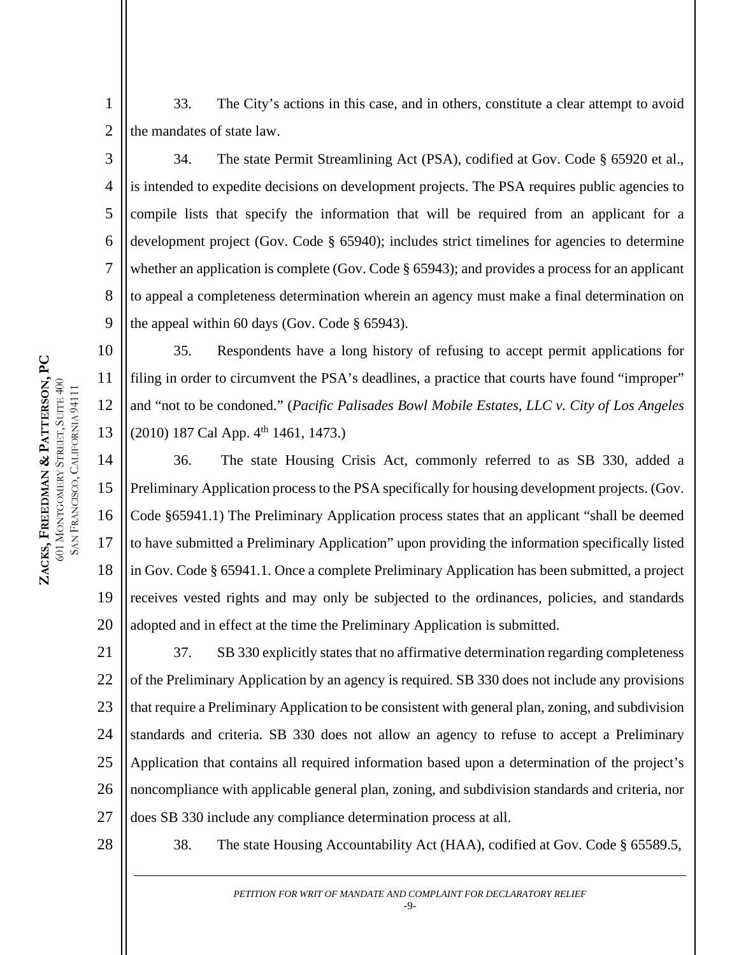33. The City's actions in this case, and in others, constitute a clear attempt to avoid the mandates of state law.

8 9 34. The state Permit Streamlining Act (PSA), codified at Gov. Code § 65920 et al., is intended to expedite decisions on development projects. The PSA requires public agencies to compile lists that specify the information that will be required from an applicant for a development project (Gov. Code § 65940); includes strict timelines for agencies to determine whether an application is complete (Gov. Code § 65943); and provides a process for an applicant to appeal a completeness determination wherein an agency must make a final determination on the appeal within 60 days (Gov. Code § 65943).

35. Respondents have a long history of refusing to accept permit applications for filing in order to circumvent the PSA's deadlines, a practice that courts have found "improper" and "not to be condoned." (*Pacific Palisades Bowl Mobile Estates, LLC v. City of Los Angeles*  $(2010)$  187 Cal App.  $4<sup>th</sup>$  1461, 1473.)

14 15 16 17 18 19 20 36. The state Housing Crisis Act, commonly referred to as SB 330, added a Preliminary Application process to the PSA specifically for housing development projects. (Gov. Code §65941.1) The Preliminary Application process states that an applicant "shall be deemed to have submitted a Preliminary Application" upon providing the information specifically listed in Gov. Code § 65941.1. Once a complete Preliminary Application has been submitted, a project receives vested rights and may only be subjected to the ordinances, policies, and standards adopted and in effect at the time the Preliminary Application is submitted.

21 22 23 24 25 26 27 37. SB 330 explicitly states that no affirmative determination regarding completeness of the Preliminary Application by an agency is required. SB 330 does not include any provisions that require a Preliminary Application to be consistent with general plan, zoning, and subdivision standards and criteria. SB 330 does not allow an agency to refuse to accept a Preliminary Application that contains all required information based upon a determination of the project's noncompliance with applicable general plan, zoning, and subdivision standards and criteria, nor does SB 330 include any compliance determination process at all.

28

38. The state Housing Accountability Act (HAA), codified at Gov. Code § 65589.5,

*PETITION FOR WRIT OF MANDATE AND COMPLAINT FOR DECLARATORY RELIEF* -9-

**ZACKS, FREEDMAN**  ZACKS, FREEDMAN & PATTERSON, PC **PATTERSON, PC**  601 MONTGOMERY STREET, SUITE 400 SAN FRANCISCO, CALIFORNIA 94111 FRANCISCO, CALIFORNIA 94111 1

2

3

4

5

6

7

10

11

12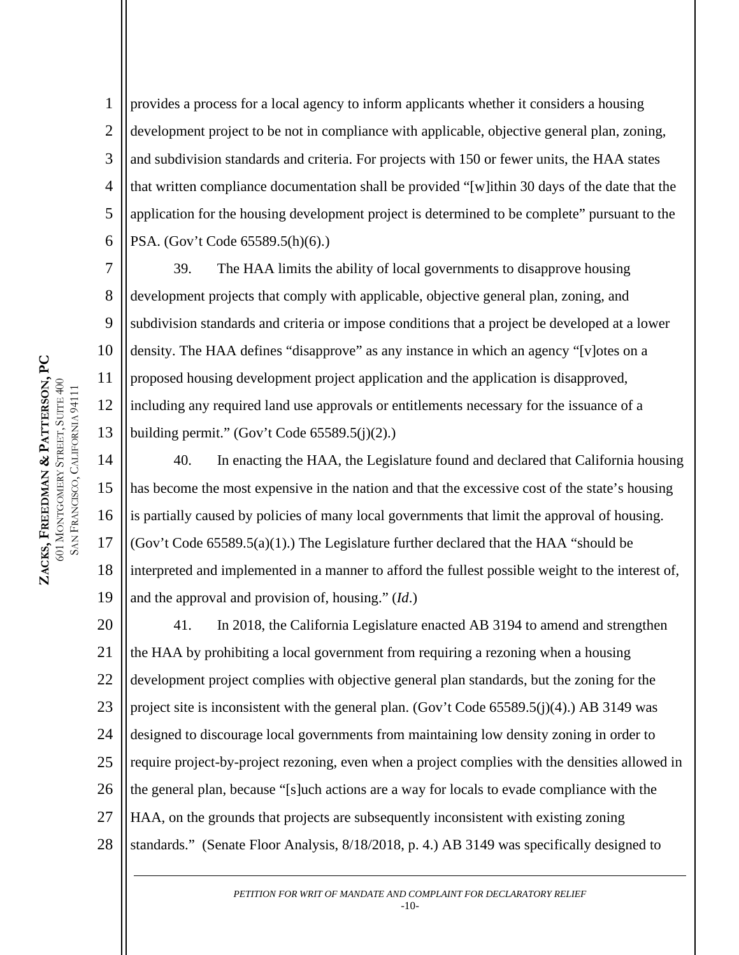8

9

10

11

12

13

1 2 3 4 5 6 provides a process for a local agency to inform applicants whether it considers a housing development project to be not in compliance with applicable, objective general plan, zoning, and subdivision standards and criteria. For projects with 150 or fewer units, the HAA states that written compliance documentation shall be provided "[w]ithin 30 days of the date that the application for the housing development project is determined to be complete" pursuant to the PSA. (Gov't Code 65589.5(h)(6).)

39. The HAA limits the ability of local governments to disapprove housing development projects that comply with applicable, objective general plan, zoning, and subdivision standards and criteria or impose conditions that a project be developed at a lower density. The HAA defines "disapprove" as any instance in which an agency "[v]otes on a proposed housing development project application and the application is disapproved, including any required land use approvals or entitlements necessary for the issuance of a building permit." (Gov't Code  $65589.5(j)(2)$ .)

14 15 16 17 18 19 40. In enacting the HAA, the Legislature found and declared that California housing has become the most expensive in the nation and that the excessive cost of the state's housing is partially caused by policies of many local governments that limit the approval of housing. (Gov't Code  $65589.5(a)(1)$ .) The Legislature further declared that the HAA "should be interpreted and implemented in a manner to afford the fullest possible weight to the interest of, and the approval and provision of, housing." (*Id*.)

20 21 22 23 24 25 26 27 28 41. In 2018, the California Legislature enacted AB 3194 to amend and strengthen the HAA by prohibiting a local government from requiring a rezoning when a housing development project complies with objective general plan standards, but the zoning for the project site is inconsistent with the general plan. (Gov't Code 65589.5(j)(4).) AB 3149 was designed to discourage local governments from maintaining low density zoning in order to require project-by-project rezoning, even when a project complies with the densities allowed in the general plan, because "[s]uch actions are a way for locals to evade compliance with the HAA, on the grounds that projects are subsequently inconsistent with existing zoning standards." (Senate Floor Analysis, 8/18/2018, p. 4.) AB 3149 was specifically designed to

> *PETITION FOR WRIT OF MANDATE AND COMPLAINT FOR DECLARATORY RELIEF* -10-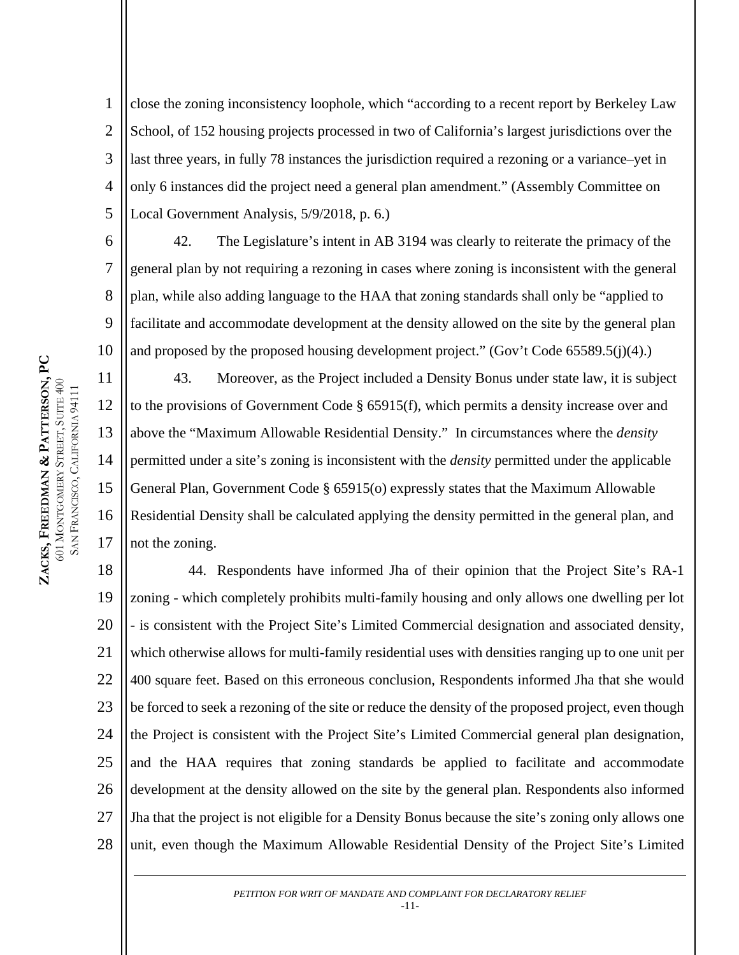7

8

9

10

11

17

1 2 3 4 5 close the zoning inconsistency loophole, which "according to a recent report by Berkeley Law School, of 152 housing projects processed in two of California's largest jurisdictions over the last three years, in fully 78 instances the jurisdiction required a rezoning or a variance–yet in only 6 instances did the project need a general plan amendment." (Assembly Committee on Local Government Analysis, 5/9/2018, p. 6.)

42. The Legislature's intent in AB 3194 was clearly to reiterate the primacy of the general plan by not requiring a rezoning in cases where zoning is inconsistent with the general plan, while also adding language to the HAA that zoning standards shall only be "applied to facilitate and accommodate development at the density allowed on the site by the general plan and proposed by the proposed housing development project." (Gov't Code 65589.5(j)(4).)

12 13 14 15 16 43. Moreover, as the Project included a Density Bonus under state law, it is subject to the provisions of Government Code § 65915(f), which permits a density increase over and above the "Maximum Allowable Residential Density." In circumstances where the *density* permitted under a site's zoning is inconsistent with the *density* permitted under the applicable General Plan, Government Code § 65915(o) expressly states that the Maximum Allowable Residential Density shall be calculated applying the density permitted in the general plan, and not the zoning.

18 19 20 21 22 23 24 25 26 27 28 44. Respondents have informed Jha of their opinion that the Project Site's RA-1 zoning - which completely prohibits multi-family housing and only allows one dwelling per lot - is consistent with the Project Site's Limited Commercial designation and associated density, which otherwise allows for multi-family residential uses with densities ranging up to one unit per 400 square feet. Based on this erroneous conclusion, Respondents informed Jha that she would be forced to seek a rezoning of the site or reduce the density of the proposed project, even though the Project is consistent with the Project Site's Limited Commercial general plan designation, and the HAA requires that zoning standards be applied to facilitate and accommodate development at the density allowed on the site by the general plan. Respondents also informed Jha that the project is not eligible for a Density Bonus because the site's zoning only allows one unit, even though the Maximum Allowable Residential Density of the Project Site's Limited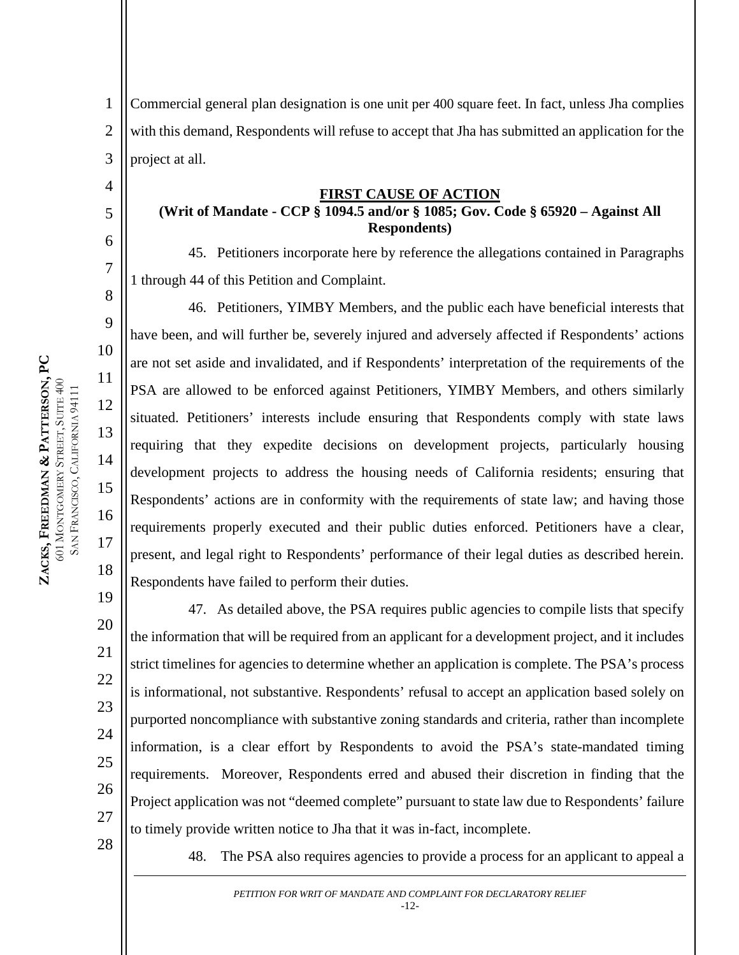4

5

6

7

8

9

10

11

12

13

14

15

16

17

18

1 2 3 Commercial general plan designation is one unit per 400 square feet. In fact, unless Jha complies with this demand, Respondents will refuse to accept that Jha has submitted an application for the project at all.

#### **FIRST CAUSE OF ACTION**

### **(Writ of Mandate - CCP § 1094.5 and/or § 1085; Gov. Code § 65920 – Against All Respondents)**

45. Petitioners incorporate here by reference the allegations contained in Paragraphs 1 through 44 of this Petition and Complaint.

46. Petitioners, YIMBY Members, and the public each have beneficial interests that have been, and will further be, severely injured and adversely affected if Respondents' actions are not set aside and invalidated, and if Respondents' interpretation of the requirements of the PSA are allowed to be enforced against Petitioners, YIMBY Members, and others similarly situated. Petitioners' interests include ensuring that Respondents comply with state laws requiring that they expedite decisions on development projects, particularly housing development projects to address the housing needs of California residents; ensuring that Respondents' actions are in conformity with the requirements of state law; and having those requirements properly executed and their public duties enforced. Petitioners have a clear, present, and legal right to Respondents' performance of their legal duties as described herein. Respondents have failed to perform their duties.

19 20 21 22 23 24 25 26 27 47. As detailed above, the PSA requires public agencies to compile lists that specify the information that will be required from an applicant for a development project, and it includes strict timelines for agencies to determine whether an application is complete. The PSA's process is informational, not substantive. Respondents' refusal to accept an application based solely on purported noncompliance with substantive zoning standards and criteria, rather than incomplete information, is a clear effort by Respondents to avoid the PSA's state-mandated timing requirements. Moreover, Respondents erred and abused their discretion in finding that the Project application was not "deemed complete" pursuant to state law due to Respondents' failure to timely provide written notice to Jha that it was in-fact, incomplete.

28

48. The PSA also requires agencies to provide a process for an applicant to appeal a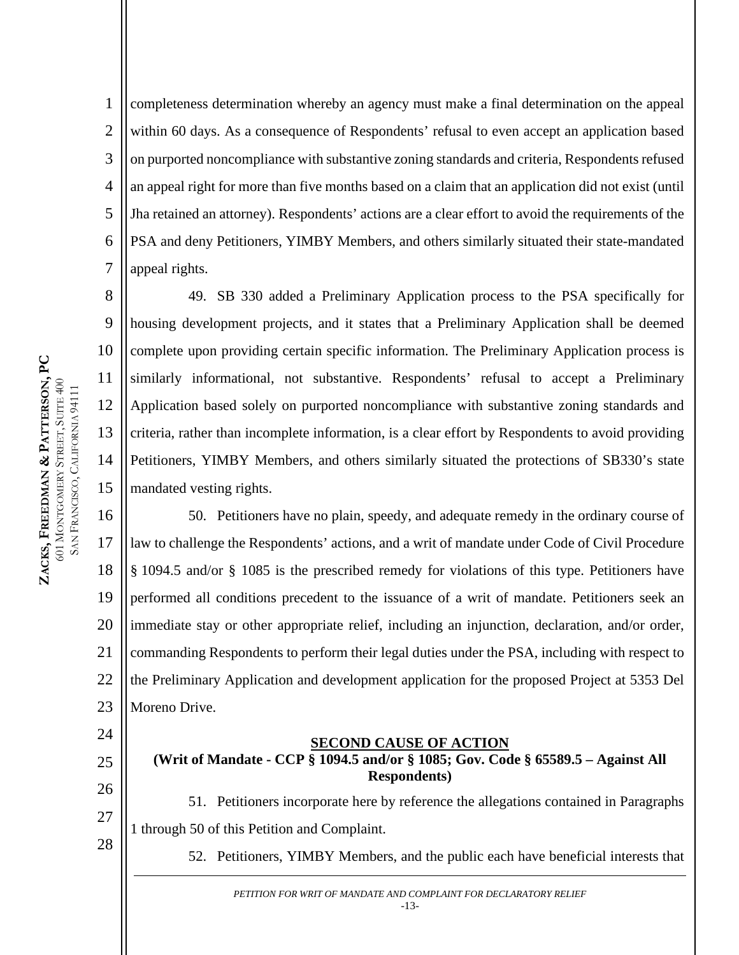9

10

11

12

13

14

15

1 2 3 4 5 6 7 completeness determination whereby an agency must make a final determination on the appeal within 60 days. As a consequence of Respondents' refusal to even accept an application based on purported noncompliance with substantive zoning standards and criteria, Respondents refused an appeal right for more than five months based on a claim that an application did not exist (until Jha retained an attorney). Respondents' actions are a clear effort to avoid the requirements of the PSA and deny Petitioners, YIMBY Members, and others similarly situated their state-mandated appeal rights.

49. SB 330 added a Preliminary Application process to the PSA specifically for housing development projects, and it states that a Preliminary Application shall be deemed complete upon providing certain specific information. The Preliminary Application process is similarly informational, not substantive. Respondents' refusal to accept a Preliminary Application based solely on purported noncompliance with substantive zoning standards and criteria, rather than incomplete information, is a clear effort by Respondents to avoid providing Petitioners, YIMBY Members, and others similarly situated the protections of SB330's state mandated vesting rights.

16 17 18 19 20 21 22 23 50. Petitioners have no plain, speedy, and adequate remedy in the ordinary course of law to challenge the Respondents' actions, and a writ of mandate under Code of Civil Procedure § 1094.5 and/or § 1085 is the prescribed remedy for violations of this type. Petitioners have performed all conditions precedent to the issuance of a writ of mandate. Petitioners seek an immediate stay or other appropriate relief, including an injunction, declaration, and/or order, commanding Respondents to perform their legal duties under the PSA, including with respect to the Preliminary Application and development application for the proposed Project at 5353 Del Moreno Drive.

## 24

25 26

27

28

**SECOND CAUSE OF ACTION (Writ of Mandate - CCP § 1094.5 and/or § 1085; Gov. Code § 65589.5 – Against All Respondents)**

51. Petitioners incorporate here by reference the allegations contained in Paragraphs 1 through 50 of this Petition and Complaint.

52. Petitioners, YIMBY Members, and the public each have beneficial interests that

*PETITION FOR WRIT OF MANDATE AND COMPLAINT FOR DECLARATORY RELIEF* -13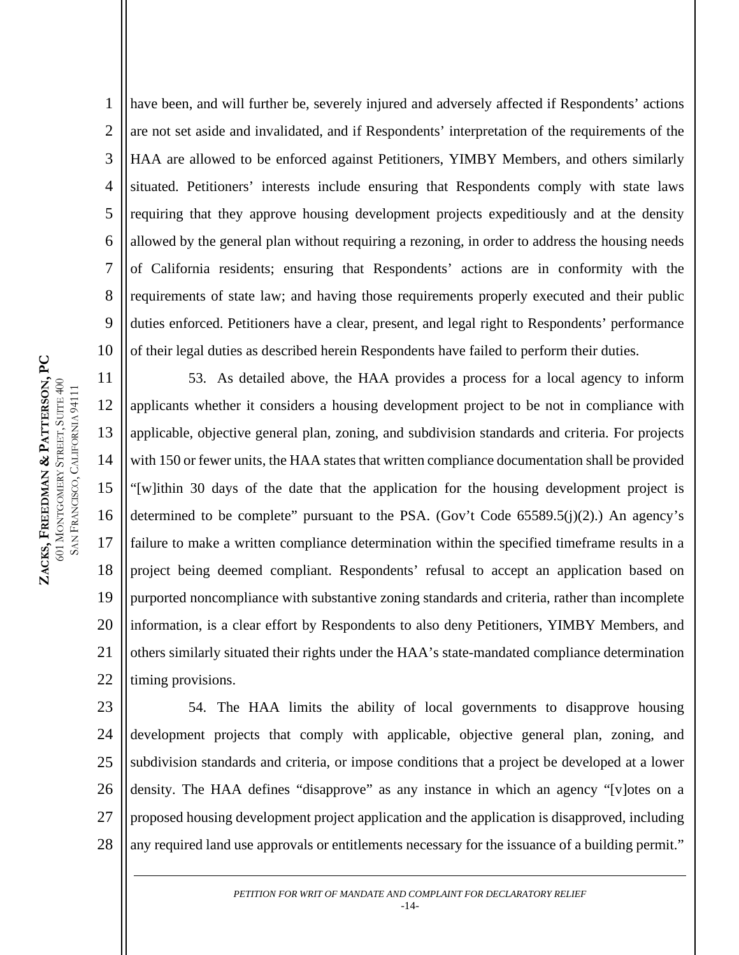have been, and will further be, severely injured and adversely affected if Respondents' actions are not set aside and invalidated, and if Respondents' interpretation of the requirements of the HAA are allowed to be enforced against Petitioners, YIMBY Members, and others similarly situated. Petitioners' interests include ensuring that Respondents comply with state laws requiring that they approve housing development projects expeditiously and at the density allowed by the general plan without requiring a rezoning, in order to address the housing needs of California residents; ensuring that Respondents' actions are in conformity with the requirements of state law; and having those requirements properly executed and their public duties enforced. Petitioners have a clear, present, and legal right to Respondents' performance of their legal duties as described herein Respondents have failed to perform their duties.

11 12 13 14 15 16 17 18 19 20 21 22 53. As detailed above, the HAA provides a process for a local agency to inform applicants whether it considers a housing development project to be not in compliance with applicable, objective general plan, zoning, and subdivision standards and criteria. For projects with 150 or fewer units, the HAA states that written compliance documentation shall be provided "[w]ithin 30 days of the date that the application for the housing development project is determined to be complete" pursuant to the PSA. (Gov't Code  $65589.5(j)(2)$ .) An agency's failure to make a written compliance determination within the specified timeframe results in a project being deemed compliant. Respondents' refusal to accept an application based on purported noncompliance with substantive zoning standards and criteria, rather than incomplete information, is a clear effort by Respondents to also deny Petitioners, YIMBY Members, and others similarly situated their rights under the HAA's state-mandated compliance determination timing provisions.

23 24 25 26 27 28 54. The HAA limits the ability of local governments to disapprove housing development projects that comply with applicable, objective general plan, zoning, and subdivision standards and criteria, or impose conditions that a project be developed at a lower density. The HAA defines "disapprove" as any instance in which an agency "[v]otes on a proposed housing development project application and the application is disapproved, including any required land use approvals or entitlements necessary for the issuance of a building permit."

> *PETITION FOR WRIT OF MANDATE AND COMPLAINT FOR DECLARATORY RELIEF* -14-

1

2

3

4

5

6

7

8

9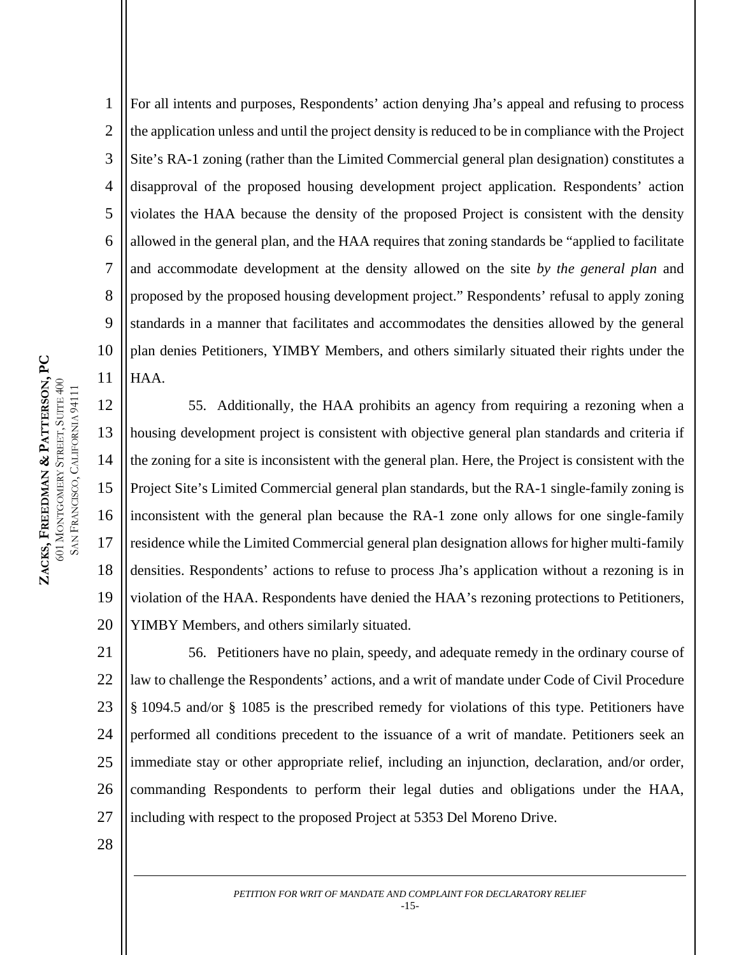1 2 3 4 5 6 7 8 9 10 11 For all intents and purposes, Respondents' action denying Jha's appeal and refusing to process the application unless and until the project density is reduced to be in compliance with the Project Site's RA-1 zoning (rather than the Limited Commercial general plan designation) constitutes a disapproval of the proposed housing development project application. Respondents' action violates the HAA because the density of the proposed Project is consistent with the density allowed in the general plan, and the HAA requires that zoning standards be "applied to facilitate and accommodate development at the density allowed on the site *by the general plan* and proposed by the proposed housing development project." Respondents' refusal to apply zoning standards in a manner that facilitates and accommodates the densities allowed by the general plan denies Petitioners, YIMBY Members, and others similarly situated their rights under the HAA.

12 13 14 15 16 17 18 19 20 55. Additionally, the HAA prohibits an agency from requiring a rezoning when a housing development project is consistent with objective general plan standards and criteria if the zoning for a site is inconsistent with the general plan. Here, the Project is consistent with the Project Site's Limited Commercial general plan standards, but the RA-1 single-family zoning is inconsistent with the general plan because the RA-1 zone only allows for one single-family residence while the Limited Commercial general plan designation allows for higher multi-family densities. Respondents' actions to refuse to process Jha's application without a rezoning is in violation of the HAA. Respondents have denied the HAA's rezoning protections to Petitioners, YIMBY Members, and others similarly situated.

21 22 23 24 25 26 27 56. Petitioners have no plain, speedy, and adequate remedy in the ordinary course of law to challenge the Respondents' actions, and a writ of mandate under Code of Civil Procedure § 1094.5 and/or § 1085 is the prescribed remedy for violations of this type. Petitioners have performed all conditions precedent to the issuance of a writ of mandate. Petitioners seek an immediate stay or other appropriate relief, including an injunction, declaration, and/or order, commanding Respondents to perform their legal duties and obligations under the HAA, including with respect to the proposed Project at 5353 Del Moreno Drive.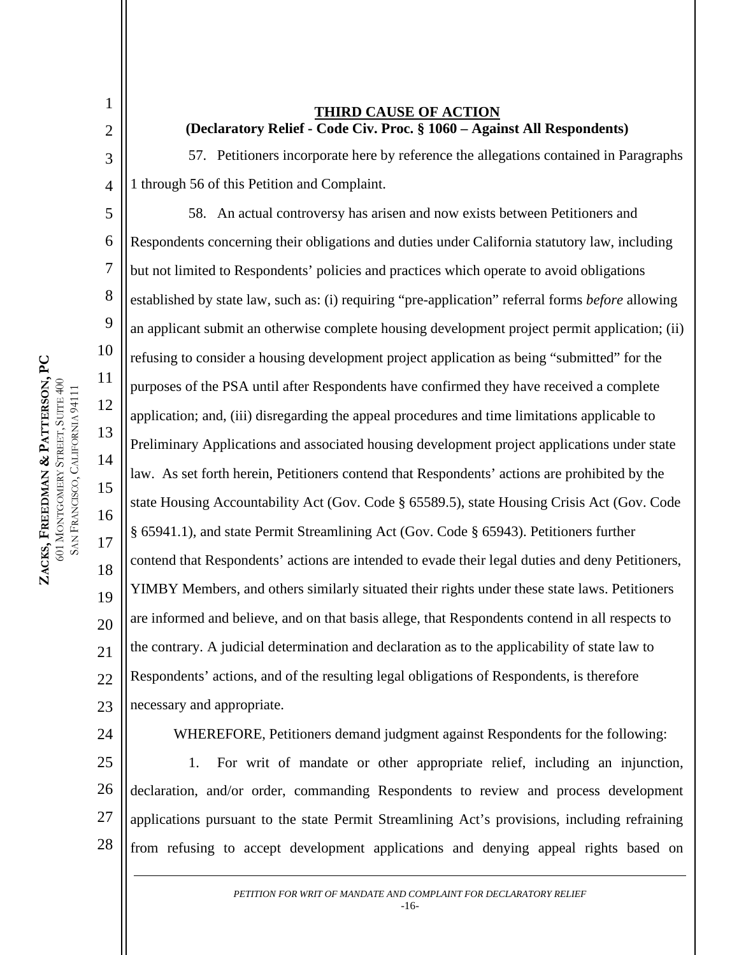1

2

3

4

5

6

7

8

9

10

11

12

13

14

15

16

17

18

19

20

21

 $22$ 

24

**THIRD CAUSE OF ACTION (Declaratory Relief - Code Civ. Proc. § 1060 – Against All Respondents)**

57. Petitioners incorporate here by reference the allegations contained in Paragraphs 1 through 56 of this Petition and Complaint.

58. An actual controversy has arisen and now exists between Petitioners and Respondents concerning their obligations and duties under California statutory law, including but not limited to Respondents' policies and practices which operate to avoid obligations established by state law, such as: (i) requiring "pre-application" referral forms *before* allowing an applicant submit an otherwise complete housing development project permit application; (ii) refusing to consider a housing development project application as being "submitted" for the purposes of the PSA until after Respondents have confirmed they have received a complete application; and, (iii) disregarding the appeal procedures and time limitations applicable to Preliminary Applications and associated housing development project applications under state law. As set forth herein, Petitioners contend that Respondents' actions are prohibited by the state Housing Accountability Act (Gov. Code § 65589.5), state Housing Crisis Act (Gov. Code § 65941.1), and state Permit Streamlining Act (Gov. Code § 65943). Petitioners further contend that Respondents' actions are intended to evade their legal duties and deny Petitioners, YIMBY Members, and others similarly situated their rights under these state laws. Petitioners are informed and believe, and on that basis allege, that Respondents contend in all respects to the contrary. A judicial determination and declaration as to the applicability of state law to Respondents' actions, and of the resulting legal obligations of Respondents, is therefore necessary and appropriate.

23

WHEREFORE, Petitioners demand judgment against Respondents for the following:

25 26 27 28 1. For writ of mandate or other appropriate relief, including an injunction, declaration, and/or order, commanding Respondents to review and process development applications pursuant to the state Permit Streamlining Act's provisions, including refraining from refusing to accept development applications and denying appeal rights based on

> *PETITION FOR WRIT OF MANDATE AND COMPLAINT FOR DECLARATORY RELIEF* -16-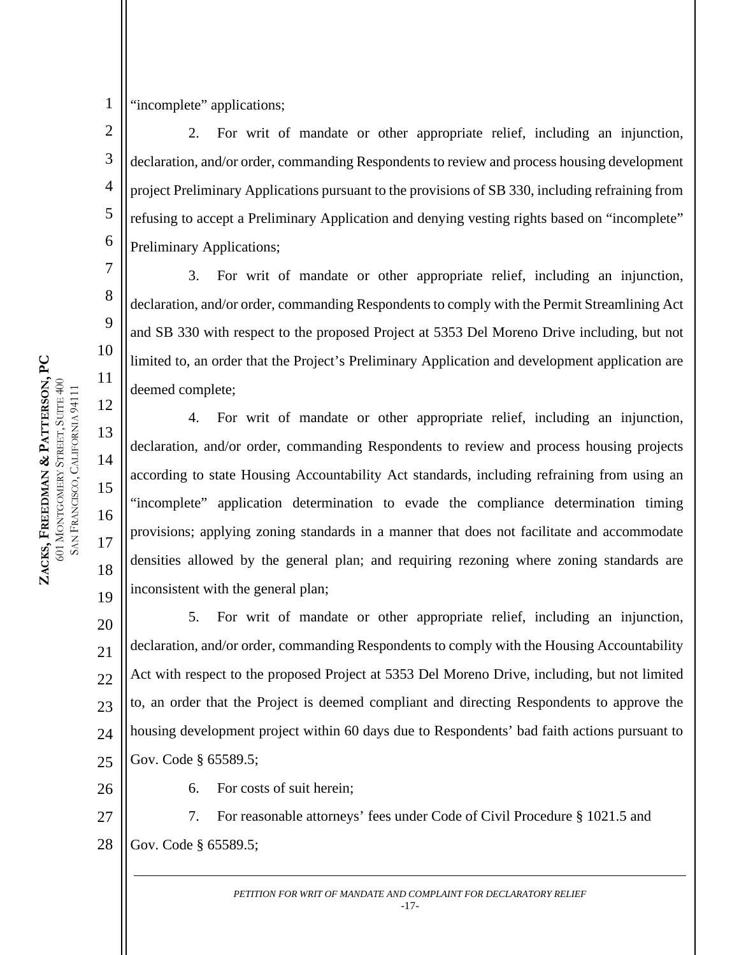"incomplete" applications;

1

7

8

9

10

11

12

13

14

15

16

17

18

19

2 3 4 5 6 2. For writ of mandate or other appropriate relief, including an injunction, declaration, and/or order, commanding Respondents to review and process housing development project Preliminary Applications pursuant to the provisions of SB 330, including refraining from refusing to accept a Preliminary Application and denying vesting rights based on "incomplete" Preliminary Applications;

3. For writ of mandate or other appropriate relief, including an injunction, declaration, and/or order, commanding Respondents to comply with the Permit Streamlining Act and SB 330 with respect to the proposed Project at 5353 Del Moreno Drive including, but not limited to, an order that the Project's Preliminary Application and development application are deemed complete;

4. For writ of mandate or other appropriate relief, including an injunction, declaration, and/or order, commanding Respondents to review and process housing projects according to state Housing Accountability Act standards, including refraining from using an "incomplete" application determination to evade the compliance determination timing provisions; applying zoning standards in a manner that does not facilitate and accommodate densities allowed by the general plan; and requiring rezoning where zoning standards are inconsistent with the general plan;

20 21 22 23 24 5. For writ of mandate or other appropriate relief, including an injunction, declaration, and/or order, commanding Respondents to comply with the Housing Accountability Act with respect to the proposed Project at 5353 Del Moreno Drive, including, but not limited to, an order that the Project is deemed compliant and directing Respondents to approve the housing development project within 60 days due to Respondents' bad faith actions pursuant to Gov. Code § 65589.5;

6. For costs of suit herein;

27 28 7. For reasonable attorneys' fees under Code of Civil Procedure § 1021.5 and Gov. Code § 65589.5;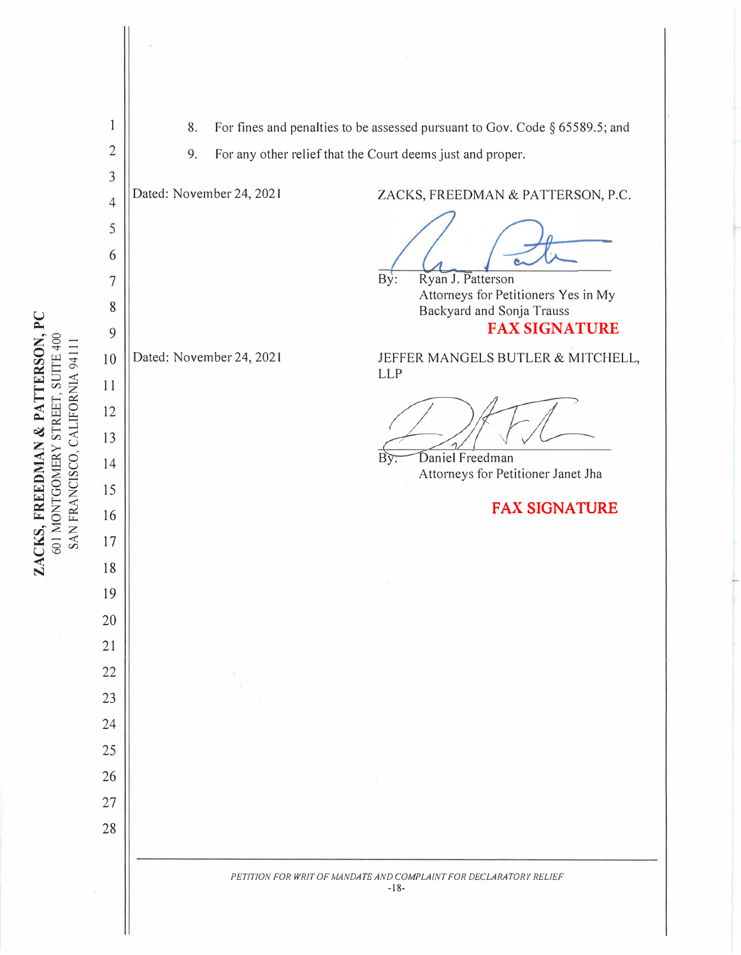ZACKS, FREEDMAN & PATTERSON, PC<br>601 MONTGOMERY STREET, SUITE 400<br>SAN FRANCISCO, CALIFORNIA 94111 **ZACKS, FREEDMAN & PATTERSON, PC** 601 MONTGOMERY STREET, SUITE 400 SAN FRANCISCO, CALIFORNIA 94111

| $\mathbf{1}$   | 8.                                                               |                          | For fines and penalties to be assessed pursuant to Gov. Code $\S$ 65589.5; and |
|----------------|------------------------------------------------------------------|--------------------------|--------------------------------------------------------------------------------|
| $\overline{2}$ | 9.<br>For any other relief that the Court deems just and proper. |                          |                                                                                |
| 3              |                                                                  |                          |                                                                                |
| $\overline{4}$ |                                                                  | Dated: November 24, 2021 | ZACKS, FREEDMAN & PATTERSON, P.C.                                              |
| 5              |                                                                  |                          |                                                                                |
| 6              |                                                                  |                          |                                                                                |
| 7              |                                                                  |                          | Ryan J. Patterson<br>By:<br>Attorneys for Petitioners Yes in My                |
| 8              |                                                                  |                          | Backyard and Sonja Trauss                                                      |
| 9              |                                                                  |                          | <b>FAX SIGNATURE</b>                                                           |
| 10             |                                                                  | Dated: November 24, 2021 | JEFFER MANGELS BUTLER & MITCHELL,<br><b>LLP</b>                                |
| 11             |                                                                  |                          |                                                                                |
| 12             |                                                                  |                          |                                                                                |
| 13             |                                                                  |                          |                                                                                |
| 14             |                                                                  |                          | Daniel Freedman<br>Вÿ<br>Attorneys for Petitioner Janet Jha                    |
| 15             |                                                                  |                          |                                                                                |
| 16             |                                                                  |                          | <b>FAX SIGNATURE</b>                                                           |
| 17             |                                                                  |                          |                                                                                |
| 18             |                                                                  |                          |                                                                                |
| 19             |                                                                  |                          |                                                                                |
| 20             |                                                                  |                          |                                                                                |
| 21             |                                                                  |                          |                                                                                |
| 22             |                                                                  |                          |                                                                                |
| 23             |                                                                  |                          |                                                                                |
| 24             |                                                                  |                          |                                                                                |
| 25             |                                                                  |                          |                                                                                |
| 26             |                                                                  |                          |                                                                                |
| 27             |                                                                  |                          |                                                                                |
| 28             |                                                                  |                          |                                                                                |
|                |                                                                  |                          |                                                                                |
|                |                                                                  |                          | PETITION FOR WRIT OF MANDATE AND COMPLAINT FOR DECLARATORY RELIEF<br>$-18-$    |
|                |                                                                  |                          |                                                                                |
|                |                                                                  |                          |                                                                                |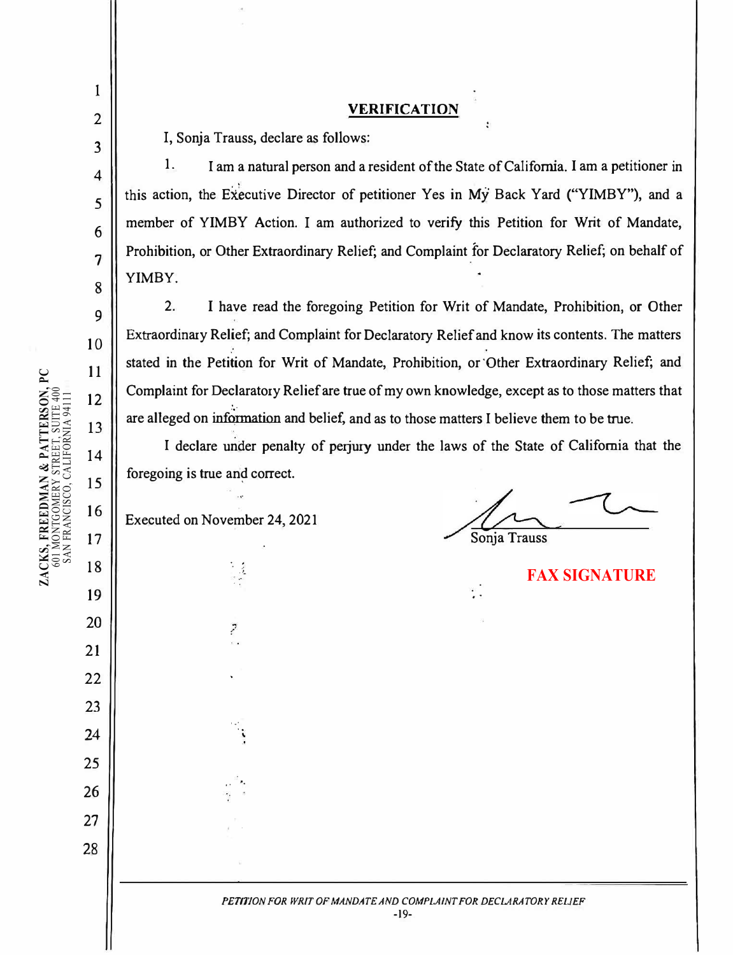3

4

5

6

7

8

9

10

11

12

# **VERIFICATION**

I, Sonja Trauss, declare as follows:

 $\mathbf{I}$ 

•

• •

2. I have read the foregoing Petition for Writ of Mandate, Prohibition, or Other Extraordinary Relief; and Complaint for Declaratory Relief and know its contents. The matters stated in the Petition for Writ of Mandate, Prohibition, or 'Other Extraordinary Relief; and Complaint for Declaratory Relief are true of my own knowledge, except as to those matters that • • •• are alleged on information and belief, and as to those matters I believe them to be true.

1. I am a natural person and a resident of the State of California. I am a petitioner in this action, the Executive Director of petitioner Yes in My Back Yard ("YIMBY"), and a member of YIMBY Action. I am authorized to verify this Petition for Writ of Mandate, Prohibition, or Other Extraordinary Relief; and Complaint for Declaratory Relief; on behalf of YIMBY. ..